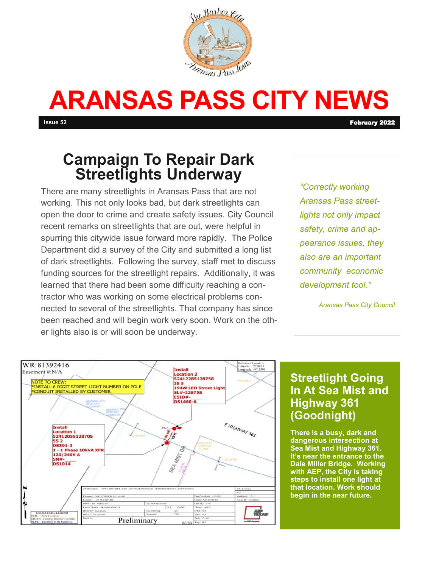

# **ARANSAS PASS CITY NEWS**

**Issue 52** February 2022

## **Campaign To Repair Dark Streetlights Underway**

There are many streetlights in Aransas Pass that are not working. This not only looks bad, but dark streetlights can open the door to crime and create safety issues. City Council recent remarks on streetlights that are out, were helpful in spurring this citywide issue forward more rapidly. The Police Department did a survey of the City and submitted a long list of dark streetlights. Following the survey, staff met to discuss funding sources for the streetlight repairs. Additionally, it was learned that there had been some difficulty reaching a contractor who was working on some electrical problems connected to several of the streetlights. That company has since been reached and will begin work very soon. Work on the other lights also is or will soon be underway.

*"Correctly working Aransas Pass streetlights not only impact safety, crime and appearance issues, they also are an important community economic development tool."*

*Aransas Pass City Council*



#### **Streetlight Going In At Sea Mist and Highway 361 (Goodnight)**

**There is a busy, dark and dangerous intersection at Sea Mist and Highway 361. It's near the entrance to the Dale Miller Bridge. Working with AEP, the City is taking steps to install one light at that location. Work should begin in the near future.**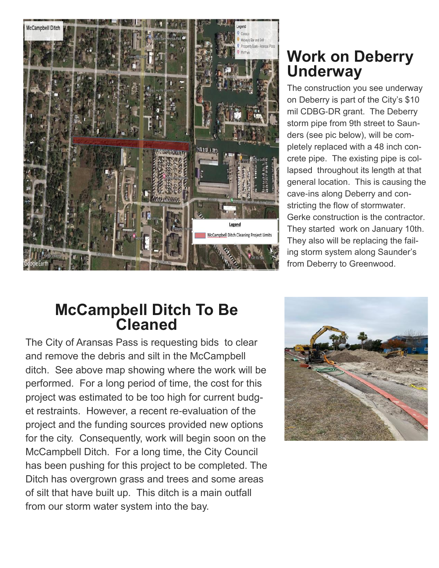

## **Work on Deberry Underway**

The construction you see underway on Deberry is part of the City's \$10 mil CDBG-DR grant. The Deberry storm pipe from 9th street to Saunders (see pic below), will be completely replaced with a 48 inch concrete pipe. The existing pipe is collapsed throughout its length at that general location. This is causing the cave-ins along Deberry and constricting the flow of stormwater. Gerke construction is the contractor. They started work on January 10th. They also will be replacing the failing storm system along Saunder's from Deberry to Greenwood.

### **McCampbell Ditch To Be Cleaned**

The City of Aransas Pass is requesting bids to clear and remove the debris and silt in the McCampbell ditch. See above map showing where the work will be performed. For a long period of time, the cost for this project was estimated to be too high for current budget restraints. However, a recent re-evaluation of the project and the funding sources provided new options for the city. Consequently, work will begin soon on the McCampbell Ditch. For a long time, the City Council has been pushing for this project to be completed. The Ditch has overgrown grass and trees and some areas of silt that have built up. This ditch is a main outfall from our storm water system into the bay.

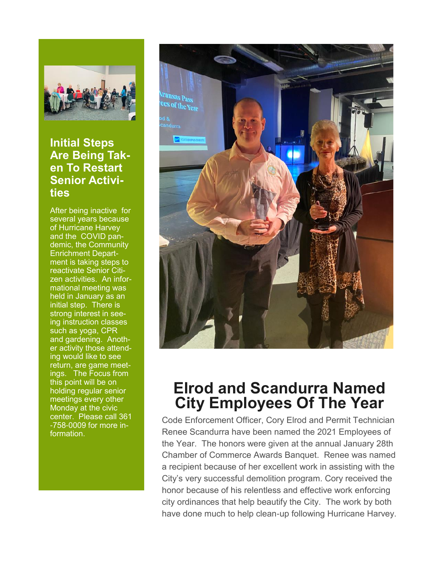

#### **Initial Steps Are Being Taken To Restart Senior Activities**

After being inactive for several years because of Hurricane Harvey and the COVID pandemic, the Community Enrichment Department is taking steps to reactivate Senior Citizen activities. An informational meeting was held in January as an initial step. There is strong interest in seeing instruction classes such as yoga, CPR and gardening. Another activity those attending would like to see return, are game meetings. The Focus from this point will be on holding regular senior meetings every other Monday at the civic center. Please call 361 -758-0009 for more information.



## **Elrod and Scandurra Named City Employees Of The Year**

Code Enforcement Officer, Cory Elrod and Permit Technician Renee Scandurra have been named the 2021 Employees of the Year. The honors were given at the annual January 28th Chamber of Commerce Awards Banquet. Renee was named a recipient because of her excellent work in assisting with the City's very successful demolition program. Cory received the honor because of his relentless and effective work enforcing city ordinances that help beautify the City. The work by both have done much to help clean-up following Hurricane Harvey.